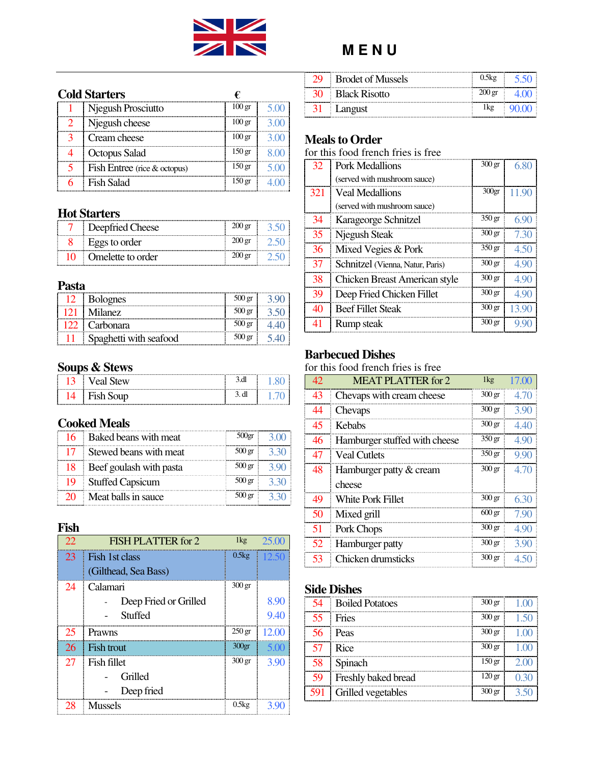

#### **Cold Starters €**

| Njegush Prosciutto           | $100 \text{ gr}$  |  |
|------------------------------|-------------------|--|
| Njegush cheese               | $100 \text{ gr}$  |  |
| Cream cheese                 | $100 \text{ gr}$  |  |
| Octopus Salad                | 150 gr            |  |
| Fish Entree (rice & octopus) | 150 gr            |  |
| <b>Fish Salad</b>            | 150 <sub>gr</sub> |  |

#### **Hot Starters**

| Deepfried Cheese<br>÷ |  |
|-----------------------|--|
| Eggs to order         |  |
| Omelette to order     |  |

#### **Pasta**

| <b>Bolognes</b>        | $500 \,\mathrm{gr}$ |  |
|------------------------|---------------------|--|
| <b>Milanez</b>         | $500 \,\mathrm{gr}$ |  |
| Carbonara              |                     |  |
| Spaghetti with seafood | 500 gr              |  |

# **Soups & Stews**

|  | . |
|--|---|
|  |   |

# **Cooked Meals**

| 16 Baked beans with meat   | 500 <sub>gr</sub>   |  |
|----------------------------|---------------------|--|
| 17 Stewed beans with meat  | $500 \,\mathrm{gr}$ |  |
| 18 Beef goulash with pasta | $500 \text{ gr}$    |  |
| 19 Stuffed Capsicum        | 500 gr              |  |
| 20 Meat balls in sauce     | 500 gr              |  |

## **Fish**

| 22 | FISH PLATTER for 2     | $1\text{kg}$     | 25 Q         |
|----|------------------------|------------------|--------------|
| 23 | Fish 1st class         | 0.5kg            | <b>12.50</b> |
|    | (Gilthead, Sea Bass)   |                  |              |
| 24 | Calamari               | $300 \text{ gr}$ |              |
|    | Deep Fried or Grilled  |                  | 8.90         |
|    | Stuffed                |                  | 9.40         |
| 25 | <b>Prawns</b>          | $250 \text{ gr}$ | 12 OO        |
| 26 | I<br><b>Fish trout</b> | $300$ gr         | 5 M          |
| 27 | Ē<br>Fish fillet       | $300 \text{ gr}$ | 3.90         |
|    | Grilled                |                  |              |
|    | Deep fried             |                  |              |
| 28 | <b>Mussels</b>         | 0.5kg            |              |

|       | <b>Brodet of Mussels</b>  |  |
|-------|---------------------------|--|
|       | <b>Black Risotto</b><br>Ŧ |  |
| -31 L | Langust                   |  |

# **Meals to Order**

for this food french fries is free

| 32  | Pork Medallions                      | $300 \text{ gr}$  | 6.80  |
|-----|--------------------------------------|-------------------|-------|
|     | (served with mushroom sauce)         |                   |       |
| 321 | <b>Veal Medallions</b>               | 300 <sub>gr</sub> | 11 90 |
|     | (served with mushroom sauce)         |                   |       |
| 34  | Karageorge Schnitzel                 | 350 <sub>gr</sub> | 690   |
| 35  | Njegush Steak                        | $300 \text{ gr}$  | 730   |
| 36  | Mixed Vegies & Pork                  | 350 <sub>gr</sub> | 4.50  |
| 37  | Schnitzel (Vienna, Natur, Paris)     | $300 \text{ gr}$  | 490   |
| 38  | <b>Chicken Breast American style</b> | $300 \text{ gr}$  | 4.90  |
| 39  | Deep Fried Chicken Fillet            | $300 \text{ gr}$  | 4.90  |
| 40  | <b>Beef Fillet Steak</b>             | $300 \text{ gr}$  | 13.90 |
| 41  | <b>Rump</b> steak                    | $300 \text{ gr}$  |       |

# **Barbecued Dishes**

for this food french fries is free

| 42. | MEAT PLATTER for 2            | 1kg               | 17.00 |
|-----|-------------------------------|-------------------|-------|
| 43  | Chevaps with cream cheese     | $300 \text{ gr}$  | 4.70  |
| 44  | Chevaps                       | $300 \text{ gr}$  | 3.90  |
| 45  | Kebabs                        | $300 \text{ gr}$  | 440   |
| 46  | Hamburger stuffed with cheese | 350 <sub>gr</sub> | 4.90  |
| 47  | <b>Veal Cutlets</b>           | 350 <sub>gr</sub> | 9.90  |
| 48  | Hamburger patty & cream       | $300 \text{ gr}$  | 4.70  |
|     | cheese                        |                   |       |
| 49  | <b>White Pork Fillet</b>      | $300 \text{ gr}$  | 6.30  |
| 50  | Mixed grill                   | $600 \text{ gr}$  | 7.90  |
| 51  | Pork Chops                    | $300 \text{ gr}$  | 4.90  |
| 52  | Hamburger patty               | $300 \text{ gr}$  | 3.90  |
| 53  | Chicken drumsticks            | $300 \text{ gr}$  | 450   |

#### **Side Dishes**

| 54 - | <b>Boiled Potatoes</b> | $300 \text{ gr}$  |  |
|------|------------------------|-------------------|--|
| 55.  | - Fries                | $300 \text{ gr}$  |  |
|      | <i>E</i> Peas          | $300 \text{ gr}$  |  |
|      | Rice                   | $300 \text{ gr}$  |  |
|      | Spinach                | 150 <sub>gr</sub> |  |
|      | Freshly baked bread    | 120 <sub>gr</sub> |  |
| 591  | Grilled vegetables     | $300 \text{ gr}$  |  |